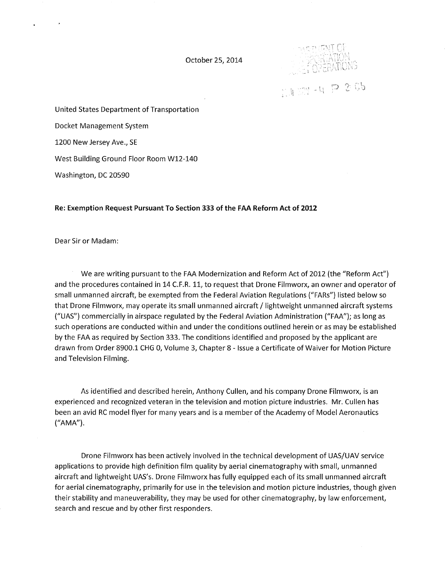October 25, 2014



 $1177 - 4720$ 

United States Department of Transportation

Docket Management System

1200 New Jersey Ave., SE

West Building Ground Floor Room W12-140

Washington, DC 20590

## **Re: Exemption Request Pursuant To Section 333 of the FAA Reform Act of 2012**

Dear Sir or Madam:

We are writing pursuant to the FAA Modernization and Reform Act of 2012 (the "Reform Act") and the procedures contained in 14 C.F.R. 11, to request that Drone Filmworx, an owner and operator of small unmanned aircraft, be exempted from the Federal Aviation Regulations ("FARs") listed below so that Drone Filmworx, may operate its small unmanned aircraft / lightweight unmanned aircraft systems ("UAS") commercially in airspace regulated by the Federal Aviation Administration ("FAA"); as long as such operations are conducted within and under the conditions outlined herein or as may be established by the FAA as required by Section 333. The conditions identified and proposed by the applicant are drawn from Order 8900.1 CHG 0, Volume 3, Chapter 8- Issue a Certificate of Waiver for Motion Picture and Television Filming.

As identified and described herein, Anthony Cullen, and his company Drone Filmworx, is an experienced and recognized veteran in the television and motion picture industries. Mr. Cullen has been an avid RC model flyer for many years and is a member of the Academy of Model Aeronautics ("AMA").

Drone Filmworx has been actively involved in the technical development of UAS/UAV service applications to provide high definition film quality by aerial cinematography with small, unmanned aircraft and lightweight UAS's. Drone Filmworx has fully equipped each of its small unmanned aircraft for aerial cinematography, primarily for use in the television and motion picture industries, though given their stability and maneuverability, they may be used for other cinematography, by law enforcement, search and rescue and by other first responders.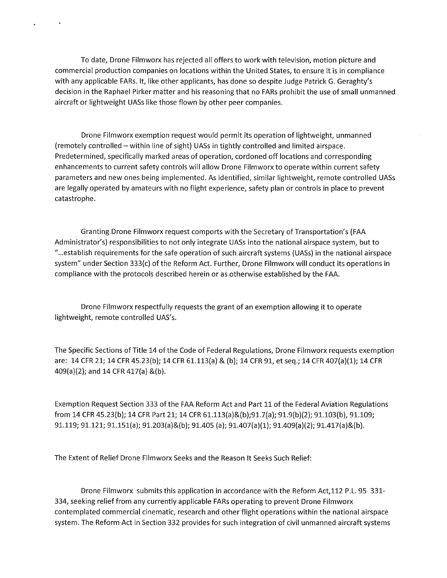To date, Drone Filmworx has rejected all offers to work with television, motion picture and commercial production companies on locations within the United States, to ensure it is in compliance with any applicable FARs. It, like other applicants, has done so despite Judge Patrick G. Geraghty's decision in the Raphael Pirker matter and his reasoning that no FARs prohibit the use of small unmanned aircraft or lightweight UASs like those flown by other peer companies.

 $\ddot{\phantom{a}}$ 

Drone Filmworx exemption request would permit its operation of lightweight, unmanned (remotely controlled- within line of sight) UASs in tightly controlled and limited airspace. Predetermined, specifically marked areas of operation, cordoned off locations and corresponding enhancements to current safety controls will allow Drone Filmworx to operate within current safety parameters and new ones being implemented. As identified, similar lightweight, remote controlled UASs are legally operated by amateurs with no flight experience, safety plan or controls in place to prevent catastrophe.

Granting Drone Filmworx request comports with the Secretary of Transportation's (FAA Administrator's) responsibilities to not only integrate UASs into the national airspace system, but to "... establish requirements for the safe operation of such aircraft systems (UASs) in the national airspace system" under Section 333(c) of the Reform Act. Further, Drone Filmworx will conduct its operations in compliance with the protocols described herein or as otherwise established by the FAA.

Drone Filmworx respectfully requests the grant of an exemption allowing it to operate lightweight, remote controlled UAS's.

The Specific Sections of Title 14 of the Code of Federal Regulations, Drone Filmworx requests exemption are: 14 CFR 21; 14 CFR 45.23(b); 14 CFR 61.113(a) & (b); 14 CFR 91, et seq.; 14 CFR 407(a)(1); 14 CFR 409(a)(2); and 14 CFR 417(a) &(b).

Exemption Request Section 333 of the FAA Reform Act and Part 11 of the Federal Aviation Regulations from 14 CFR 45.23(b); 14 CFR Part 21; 14 CFR 61.113(a)&(b);91.7(a); 91.9(b)(2); 91.103(b), 91.109; 91.119; 91.121; 91.151(a); 91.203(a)&(b); 91.405 (a); 91.407(a)(1); 91.409(a)(2); 91.417(a)&(b).

The Extent of Relief Drone Filmworx Seeks and the Reason It Seeks Such Relief:

Drone Filmworx submits this application in accordance with the Reform Act,112 P.L. 95 331- 334, seeking relief from any currently applicable FARs operating to prevent Drone Filmworx contemplated commercial cinematic, research and other flight operations within the national airspace system. The Reform Act in Section 332 provides for such integration of civil unmanned aircraft systems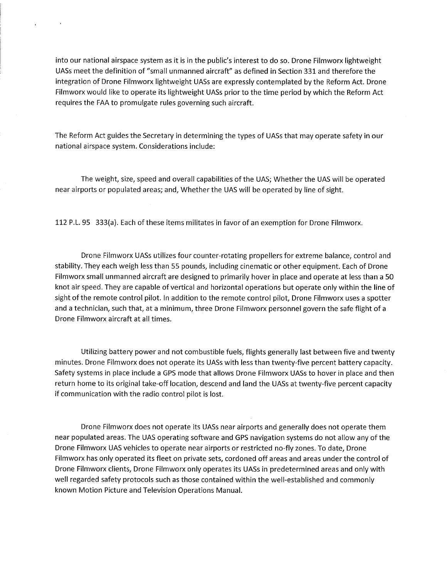into our national airspace system as it is in the public's interest to do so. Drone Filmworx lightweight UASs meet the definition of "small unmanned aircraft" as defined in Section 331 and therefore the integration of Drone Filmworx lightweight UASs are expressly contemplated by the Reform Act. Drone Filmworx would like to operate its lightweight UASs prior to the time period by which the Reform Act requires the FAA to promulgate rules governing such aircraft.

 $\mathbf{r}$ 

The Reform Act guides the Secretary in determining the types of UASs that may operate safety in our national airspace system. Considerations include:

The weight, size, speed and overall capabilities of the UAS; Whether the UAS will be operated near airports or populated areas; and, Whether the UAS will be operated by line of sight.

112 P.L. 95 333(a). Each of these items militates in favor of an exemption for Drone Filmworx.

Drone Filmworx UASs utilizes four counter-rotating propellers for extreme balance, control and stability. They each weigh less than 55 pounds, including cinematic or other equipment. Each of Drone Filmworx small unmanned aircraft are designed to primarily hover in place and operate at less than a 50 knot air speed. They are capable of vertical and horizontal operations but operate only within the line of sight of the remote control pilot. In addition to the remote control pilot, Drone Filmworx uses a spotter and a technician, such that, at a minimum, three Drone Filmworx personnel govern the safe flight of <sup>a</sup> Drone Filmworx aircraft at all times.

Utilizing battery power and not combustible fuels, flights generally last between five and twenty minutes. Drone Filmworx does not operate its UASs with less than twenty-five percent battery capacity. Safety systems in place include a GPS mode that allows Drone Filmworx UASs to hover in place and then return home to its original take-off location, descend and land the UASs at twenty-five percent capacity if communication with the radio control pilot is lost.

Drone Filmworx does not operate its UASs near airports and generally does not operate them near populated areas. The UAS operating software and GPS navigation systems do not allow any of the Drone Filmworx UAS vehicles to operate near airports or restricted no-fly zones. To date, Drone Filmworx has only operated its fleet on private sets, cordoned off areas and areas under the control of Drone Filmworx clients, Drone Filmworx only operates its UASs in predetermined areas and only with well regarded safety protocols such as those contained within the well-established and commonly known Motion Picture and Television Operations Manual.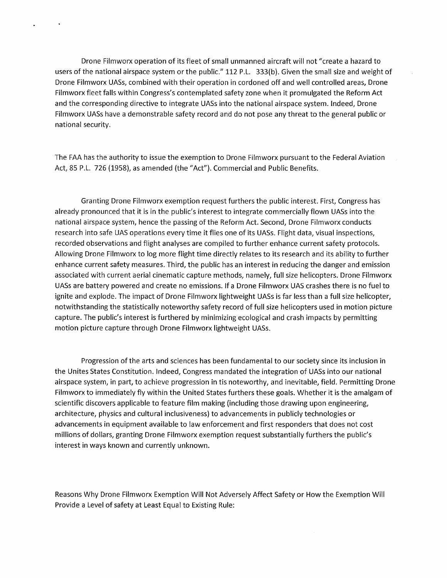Drone Filmworx operation of its fleet of small unmanned aircraft will not "create a hazard to users of the national airspace system or the public." 112 P.L. 333(b). Given the small size and weight of Drone Filmworx UASs, combined with their operation in cordoned off and well controlled areas, Drone Filmworx fleet falls within Congress's contemplated safety zone when it promulgated the Reform Act and the corresponding directive to integrate UASs into the national airspace system. Indeed, Drone Filmworx UASs have a demonstrable safety record and do not pose any threat to the general public or national security.

The FAA has the authority to issue the exemption to Drone Filmworx pursuant to the Federal Aviation Act, 85 P.L. 726 (1958), as amended (the "Act"). Commercial and Public Benefits.

Granting Drone Filmworx exemption request furthers the public interest. First, Congress has already pronounced that it is in the public's interest to integrate commercially flown UASs into the national airspace system, hence the passing of the Reform Act. Second, Drone Filmworx conducts research into safe UAS operations every time it flies one of its UASs. Flight data, visual inspections, recorded observations and flight analyses are compiled to further enhance current safety protocols. Allowing Drone Filmworx to log more flight time directly relates to its research and its ability to further enhance current safety measures. Third, the public has an interest in reducing the danger and emission associated with current aerial cinematic capture methods, namely, full size helicopters. Drone Filmworx UASs are battery powered and create no emissions. If a Drone Filmworx UAS crashes there is no fuel to ignite and explode. The impact of Drone Filmworx lightweight UASs is far less than a full size helicopter, notwithstanding the statistically noteworthy safety record of full size helicopters used in motion picture capture. The public's interest is furthered by minimizing ecological and crash impacts by permitting motion picture capture through Drone Filmworx lightweight UASs.

Progression of the arts and sciences has been fundamental to our society since its inclusion in the Unites States Constitution. Indeed, Congress mandated the integration of UASs into our national airspace system, in part, to achieve progression in tis noteworthy, and inevitable, field. Permitting Drone Filmworx to immediately fly within the United States furthers these goals. Whether it is the amalgam of scientific discovers applicable to feature film making (including those drawing upon engineering, architecture, physics and cultural inclusiveness) to advancements in publicly technologies or advancements in equipment available to law enforcement and first responders that does not cost millions of dollars, granting Drone Filmworx exemption request substantially furthers the public's interest in ways known and currently unknown.

Reasons Why Drone Filmworx Exemption Will Not Adversely Affect Safety or How the Exemption Will Provide a Level of safety at Least Equal to Existing Rule: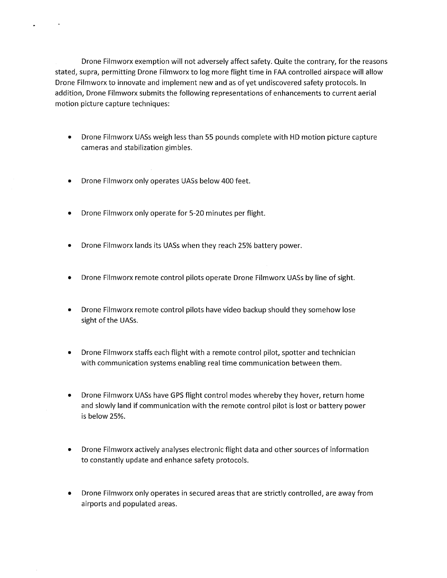Drone Filmworx exemption will not adversely affect safety. Quite the contrary, for the reasons stated, supra, permitting Drone Filmworx to log more flight time in FAA controlled airspace will allow Drone Filmworx to innovate and implement new and as of yet undiscovered safety protocols. In addition, Drone Filmworx submits the following representations of enhancements to current aerial motion picture capture techniques:

- Drone Filmworx UASs weigh less than 55 pounds complete with HD motion picture capture cameras and stabilization gimbles.
- Drone Filmworx only operates UASs below 400 feet.

 $\bullet$ 

 $\bullet$ 

- Drone Filmworx only operate for 5-20 minutes per flight.
- Drone Filmworx lands its UASs when they reach 25% battery power.
- Drone Filmworx remote control pilots operate Drone Filmworx UASs by line of sight.
- Drone Filmworx remote control pilots have video backup should they somehow lose sight of the UASs.
- Drone Filmworx staffs each flight with a remote control pilot, spotter and technician with communication systems enabling real time communication between them.
- Drone Filmworx UASs have GPS flight control modes whereby they hover, return home and slowly land if communication with the remote control pilot is lost or battery power is below 25%.
- Drone Filmworx actively analyses electronic flight data and other sources of information to constantly update and enhance safety protocols.
- Drone Filmworx only operates in secured areas that are strictly controlled, are away from airports and populated areas.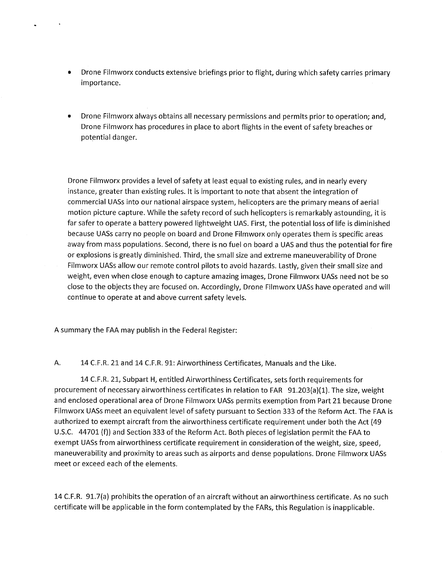- Drone Filmworx conducts extensive briefings prior to flight, during which safety carries primary importance.
- Drone Filmworx always obtains all necessary permissions and permits prior to operation; and, Drone Filmworx has procedures in place to abort flights in the event of safety breaches or potential danger.

Drone Filmworx provides a level of safety at least equal to existing rules, and in nearly every instance, greater than existing rules. It is important to note that absent the integration of commercial UASs into our national airspace system, helicopters are the primary means of aerial motion picture capture. While the safety record of such helicopters is remarkably astounding, it is far safer to operate a battery powered lightweight UAS. First, the potential loss of life is diminished because UASs carry no people on board and Drone Filmworx only operates them is specific areas away from mass populations. Second, there is no fuel on board a UAS and thus the potential for fire or explosions is greatly diminished. Third, the small size and extreme maneuverability of Drone Filmworx UASs allow our remote control pilots to avoid hazards. Lastly, given their small size and weight, even when close enough to capture amazing images, Drone Filmworx UASs need not be so close to the objects they are focused on. Accordingly, Drone Filmworx UASs have operated and will continue to operate at and above current safety levels.

A summary the FAA may publish in the Federal Register:

A. 14 C.F.R. 21 and 14 C.F.R. 91: Airworthiness Certificates, Manuals and the Like.

14 C.F.R. 21, Subpart H, entitled Airworthiness Certificates, sets forth requirements for procurement of necessary airworthiness certificates in relation to FAR 91.203(a)(1). The size, weight and enclosed operational area of Drone Filmworx UASs permits exemption from Part 21 because Drone Filmworx UASs meet an equivalent level of safety pursuant to Section 333 of the Reform Act. The FAA is authorized to exempt aircraft from the airworthiness certificate requirement under both the Act (49 U.S.C. 44701 (f)) and Section 333 of the Reform Act. Both pieces of legislation permit the FAA to exempt UASs from airworthiness certificate requirement in consideration of the weight, size, speed, maneuverability and proximity to areas such as airports and dense populations. Drone Filmworx UASs meet or exceed each of the elements.

14 C.F.R. 91.7(a) prohibits the operation of an aircraft without an airworthiness certificate. As no such certificate will be applicable in the form contemplated by the FARs, this Regulation is inapplicable.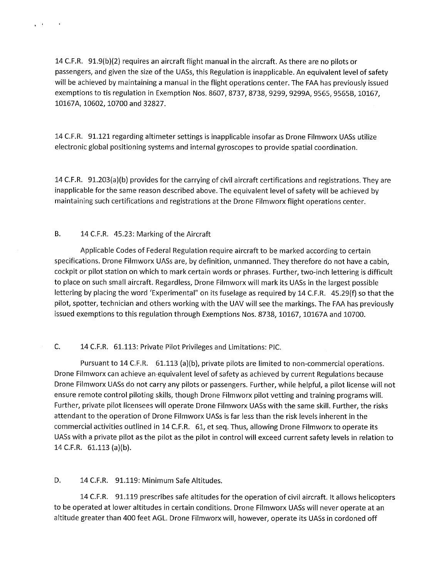<sup>14</sup>C.F.R. 91.9(b)(2} requires an aircraft flight manual in the aircraft. As there are no pilots or passengers, and given the size of the UASs, this Regulation is inapplicable. An equivalent level of safety will be achieved by maintaining a manual in the flight operations center. The FAA has previously issued exemptions to tis regulation in Exemption Nos. 8607, 8737, 8738, 9299, 9299A, 9565, 9565B, 10167, 10167A, 10602, 10700 and 32827.

14 C.F.R. 91.121 regarding altimeter settings is inapplicable insofar as Drone Filmworx UASs utilize electronic global positioning systems and internal gyroscopes to provide spatial coordination.

<sup>14</sup>C.F.R. 91.203(a)(b) provides for the carrying of civil aircraft certifications and registrations. They are inapplicable for the same reason described above. The equivalent level of safety will be achieved by maintaining such certifications and registrations at the Drone Filmworx flight operations center.

## B. 14 C.F.R. 45.23: Marking of the Aircraft

 $\mathbf{r} = \mathbf{r}$ 

 $\sim 100$ 

Applicable Codes of Federal Regulation require aircraft to be marked according to certain specifications. Drone Filmworx UASs are, by definition, unmanned. They therefore do not have a cabin, cockpit or pilot station on which to mark certain words or phrases. Further, two-inch lettering is difficult to place on such small aircraft. Regardless, Drone Filmworx will mark its UASs in the largest possible lettering by placing the word 'Experimental" on its fuselage as required by 14 C.F.R. 45.29{f) so that the pilot, spotter, technician and others working with the UAV will see the markings. The FAA has previously issued exemptions to this regulation through Exemptions Nos. 8738, 10167, 10167A and 10700.

# C. 14 C.F.R. 61.113: Private Pilot Privileges and Limitations: PIC.

Pursuant to 14 C.F.R. 61.113 (a)(b), private pilots are limited to non-commercial operations. Drone Filmworx can achieve an equivalent level of safety as achieved by current Regulations because Drone Filmworx UASs do not carry any pilots or passengers. Further, while helpful, a pilot license will not ensure remote control piloting skills, though Drone Filmworx pilot vetting and training programs will. Further, private pilot licensees will operate Drone Filmworx UASs with the same skill. Further, the risks attendant to the operation of Drone Filmworx UASs is far less than the risk levels inherent in the commercial activities outlined in 14 C.F.R. 61, et seq. Thus, allowing Drone Filmworx to operate its UASs with a private pilot as the pilot as the pilot in control will exceed current safety levels in relation to 14 C.F.R. 61.113 (a)(b).

## D. 14 C.F.R. 91.119: Minimum Safe Altitudes.

<sup>14</sup>C.F.R. 91.119 prescribes safe altitudes for the operation of civil aircraft. It allows helicopters to be operated at lower altitudes in certain conditions. Drone Filmworx UASs will never operate at an altitude greater than 400 feet AGL. Drone Filmworx will, however, operate its UASs in cordoned off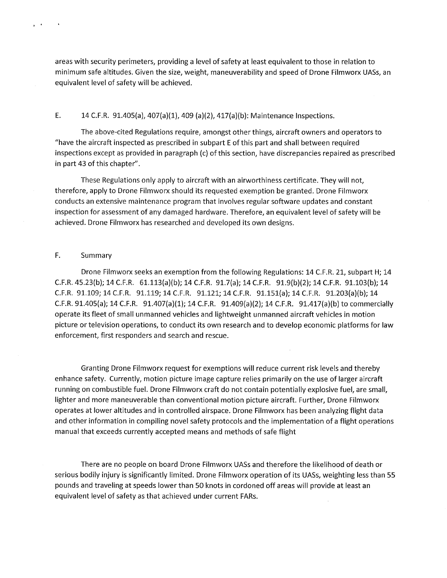areas with security perimeters, providing a level of safety at least equivalent to those in relation to minimum safe altitudes. Given the size, weight, maneuverability and speed of Drone Filmworx UASs, an equivalent level of safety will be achieved.

#### E. 14 C.F.R. 91.405(a), 407(a)(1), 409 (a)(2), 417(a)(b): Maintenance Inspections.

The above-cited Regulations require, amongst other things, aircraft owners and operators to "have the aircraft inspected as prescribed in subpart E of this part and shall between required inspections except as provided in paragraph (c) ofthis section, have discrepancies repaired as prescribed in part 43 of this chapter".

These Regulations only apply to aircraft with an airworthiness certificate. They will *not,*  therefore, apply to Drone Filmworx should its requested exemption be granted. Drone Filmworx conducts an extensive maintenance program that involves regular software updates and constant inspection for assessment of any damaged hardware. Therefore, an equivalent level of safety will be achieved. Drone Filmworx has researched and developed its own designs.

## F. Summary

 $\mathbf{r} \in \mathbb{R}^d$ 

 $\Delta$ 

Drone Filmworx seeks an exemption from the following Regulations: 14 C.F.R. 21, subpart H; 14 C.F.R. 45.23(b); 14 C.F.R. 61.113(a)(b); 14 C.F.R. 91.7(a); 14 C.F.R. 91.9(b)(2}; 14 C.F.R. 91.103(b); 14 C.F.R. 91.109; 14 C.F.R. 91.119; 14 C.F.R. 91.121; 14 C.F.R. 91.151(a); 14 C.F.R. 91.203(a)(b}; 14 C.F.R. 91.405(a); 14 C.F.R. 91.407(a)(1}; 14 C.F.R. 91.409(a)(2}; 14 C.F.R. 91.417(a)(b) to commercially operate its fleet of small unmanned vehicles and lightweight unmanned aircraft vehicles in motion picture or television operations, to conduct its own research and to develop economic platforms for law enforcement, first responders and search and rescue.

Granting Drone Filmworx request for exemptions will reduce current risk levels and thereby enhance safety. Currently, motion picture image capture relies primarily on the use of larger aircraft running on combustible fuel. Drone Filmworx craft do not contain potentially explosive fuel, are small, lighter and more maneuverable than conventional motion picture aircraft. Further, Drone Filmworx operates at lower altitudes and in controlled airspace. Drone Filmworx has been analyzing flight data and other information in compiling novel safety protocols and the implementation of a flight operations manual that exceeds currently accepted means and methods of safe flight

There are no people on board Drone Filmworx UASs and therefore the likelihood of death or serious bodily injury is significantly limited. Drone Filmworx operation of its UASs, weighting less than 55 pounds and traveling at speeds lower than 50 knots in cordoned off areas will provide at least an equivalent level of safety as that achieved under current FARs.